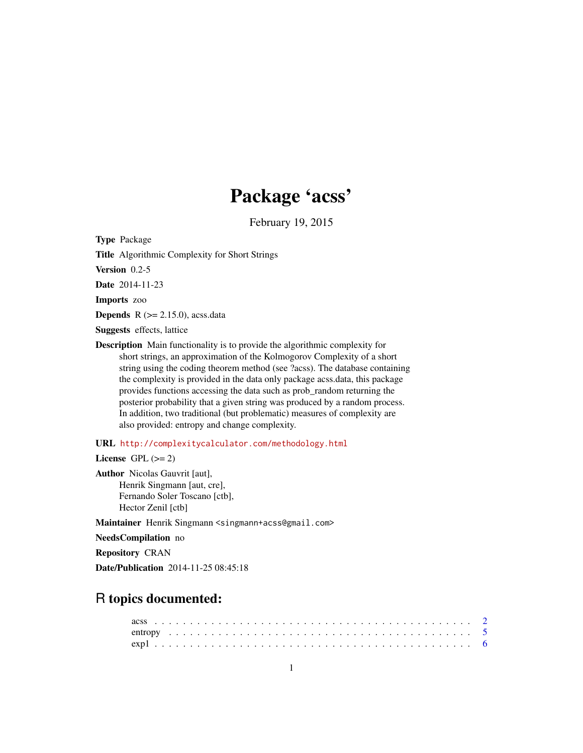## Package 'acss'

February 19, 2015

Type Package

Title Algorithmic Complexity for Short Strings

Version 0.2-5

Date 2014-11-23

Imports zoo

**Depends**  $R$  ( $>= 2.15.0$ ), acss.data

Suggests effects, lattice

Description Main functionality is to provide the algorithmic complexity for short strings, an approximation of the Kolmogorov Complexity of a short string using the coding theorem method (see ?acss). The database containing the complexity is provided in the data only package acss.data, this package provides functions accessing the data such as prob\_random returning the posterior probability that a given string was produced by a random process. In addition, two traditional (but problematic) measures of complexity are also provided: entropy and change complexity.

URL <http://complexitycalculator.com/methodology.html>

License GPL  $(>= 2)$ 

Author Nicolas Gauvrit [aut], Henrik Singmann [aut, cre], Fernando Soler Toscano [ctb], Hector Zenil [ctb]

Maintainer Henrik Singmann <singmann+acss@gmail.com>

NeedsCompilation no

Repository CRAN

Date/Publication 2014-11-25 08:45:18

### R topics documented: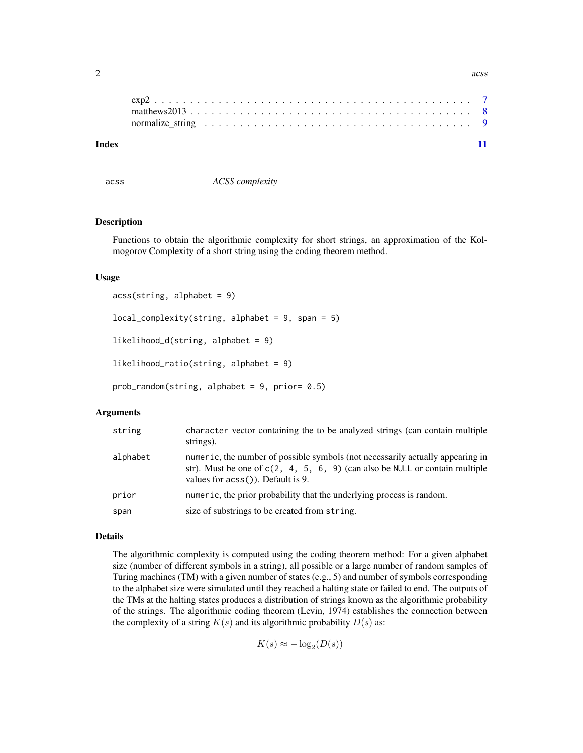#### **Index** [11](#page-10-0)

acss *ACSS complexity*

#### Description

Functions to obtain the algorithmic complexity for short strings, an approximation of the Kolmogorov Complexity of a short string using the coding theorem method.

#### Usage

```
acss(\text{string}, \text{alphabet} = 9)local\_complexity(String, alphabet = 9, span = 5)likelihood_d(string, alphabet = 9)
likelihood_ratio(string, alphabet = 9)
```
prob\_random(string, alphabet = 9, prior= 0.5)

#### Arguments

| string   | character vector containing the to be analyzed strings (can contain multiple<br>strings).                                                                                                               |
|----------|---------------------------------------------------------------------------------------------------------------------------------------------------------------------------------------------------------|
| alphabet | numeric, the number of possible symbols (not necessarily actually appearing in<br>str). Must be one of $c(2, 4, 5, 6, 9)$ (can also be NULL or contain multiple<br>values for $a\cos($ ). Default is 9. |
| prior    | numeric, the prior probability that the underlying process is random.                                                                                                                                   |
| span     | size of substrings to be created from string.                                                                                                                                                           |

#### Details

The algorithmic complexity is computed using the coding theorem method: For a given alphabet size (number of different symbols in a string), all possible or a large number of random samples of Turing machines (TM) with a given number of states (e.g., 5) and number of symbols corresponding to the alphabet size were simulated until they reached a halting state or failed to end. The outputs of the TMs at the halting states produces a distribution of strings known as the algorithmic probability of the strings. The algorithmic coding theorem (Levin, 1974) establishes the connection between the complexity of a string  $K(s)$  and its algorithmic probability  $D(s)$  as:

 $K(s) \approx -\log_2(D(s))$ 

<span id="page-1-0"></span> $2 \cos \theta$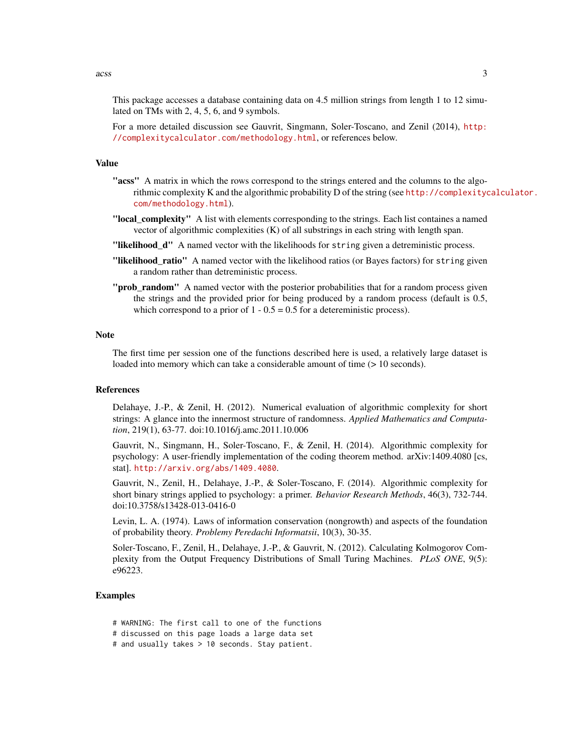$\frac{1}{3}$ 

This package accesses a database containing data on 4.5 million strings from length 1 to 12 simulated on TMs with 2, 4, 5, 6, and 9 symbols.

For a more detailed discussion see Gauvrit, Singmann, Soler-Toscano, and Zenil (2014), [http:](http://complexitycalculator.com/methodology.html) [//complexitycalculator.com/methodology.html](http://complexitycalculator.com/methodology.html), or references below.

#### Value

- "acss" A matrix in which the rows correspond to the strings entered and the columns to the algorithmic complexity K and the algorithmic probability D of the string (see [http://complexityc](http://complexitycalculator.com/methodology.html)alculator. [com/methodology.html](http://complexitycalculator.com/methodology.html)).
- "local\_complexity" A list with elements corresponding to the strings. Each list containes a named vector of algorithmic complexities (K) of all substrings in each string with length span.
- "likelihood\_d" A named vector with the likelihoods for string given a detreministic process.
- "likelihood\_ratio" A named vector with the likelihood ratios (or Bayes factors) for string given a random rather than detreministic process.
- "**prob\_random**" A named vector with the posterior probabilities that for a random process given the strings and the provided prior for being produced by a random process (default is 0.5, which correspond to a prior of  $1 - 0.5 = 0.5$  for a detereministic process).

#### **Note**

The first time per session one of the functions described here is used, a relatively large dataset is loaded into memory which can take a considerable amount of time ( $> 10$  seconds).

#### References

Delahaye, J.-P., & Zenil, H. (2012). Numerical evaluation of algorithmic complexity for short strings: A glance into the innermost structure of randomness. *Applied Mathematics and Computation*, 219(1), 63-77. doi:10.1016/j.amc.2011.10.006

Gauvrit, N., Singmann, H., Soler-Toscano, F., & Zenil, H. (2014). Algorithmic complexity for psychology: A user-friendly implementation of the coding theorem method. arXiv:1409.4080 [cs, stat]. <http://arxiv.org/abs/1409.4080>.

Gauvrit, N., Zenil, H., Delahaye, J.-P., & Soler-Toscano, F. (2014). Algorithmic complexity for short binary strings applied to psychology: a primer. *Behavior Research Methods*, 46(3), 732-744. doi:10.3758/s13428-013-0416-0

Levin, L. A. (1974). Laws of information conservation (nongrowth) and aspects of the foundation of probability theory. *Problemy Peredachi Informatsii*, 10(3), 30-35.

Soler-Toscano, F., Zenil, H., Delahaye, J.-P., & Gauvrit, N. (2012). Calculating Kolmogorov Complexity from the Output Frequency Distributions of Small Turing Machines. *PLoS ONE*, 9(5): e96223.

#### Examples

- # WARNING: The first call to one of the functions
- # discussed on this page loads a large data set
- # and usually takes > 10 seconds. Stay patient.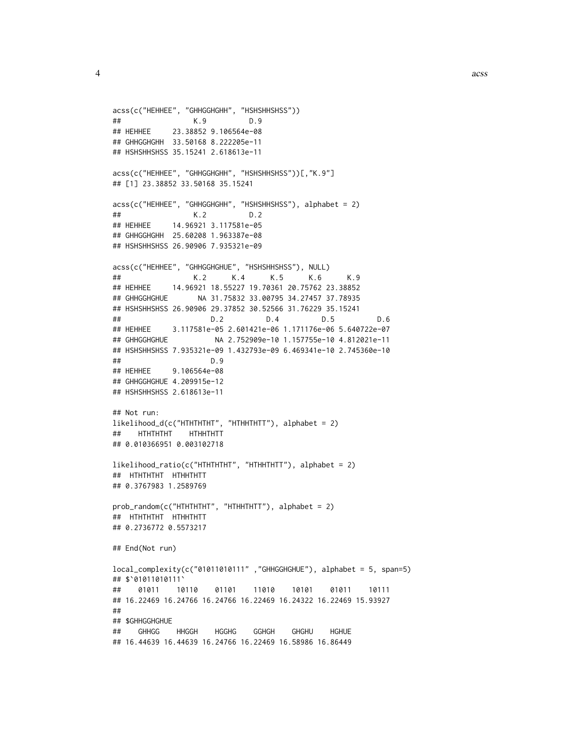```
acss(c("HEHHEE", "GHHGGHGHH", "HSHSHHSHSS"))
## K.9 D.9
## HEHHEE 23.38852 9.106564e-08
## GHHGGHGHH 33.50168 8.222205e-11
## HSHSHHSHSS 35.15241 2.618613e-11
acss(c("HEHHEE", "GHHGGHGHH", "HSHSHHSHSS"))[,"K.9"]
## [1] 23.38852 33.50168 35.15241
acss(c("HEHHEE", "GHHGGHGHH", "HSHSHHSHSS"), alphabet = 2)
## K.2 D.2
## HEHHEE 14.96921 3.117581e-05
## GHHGGHGHH 25.60208 1.963387e-08
## HSHSHHSHSS 26.90906 7.935321e-09
acss(c("HEHHEE", "GHHGGHGHUE", "HSHSHHSHSS"), NULL)
## K.2 K.4 K.5 K.6 K.9
## HEHHEE 14.96921 18.55227 19.70361 20.75762 23.38852
## GHHGGHGHUE NA 31.75832 33.00795 34.27457 37.78935
## HSHSHHSHSS 26.90906 29.37852 30.52566 31.76229 35.15241
## D.2 D.4 D.5 D.6
## HEHHEE 3.117581e-05 2.601421e-06 1.171176e-06 5.640722e-07
## GHHGGHGHUE NA 2.752909e-10 1.157755e-10 4.812021e-11
## HSHSHHSHSS 7.935321e-09 1.432793e-09 6.469341e-10 2.745360e-10
## D.9
## HEHHEE 9.106564e-08
## GHHGGHGHUE 4.209915e-12
## HSHSHHSHSS 2.618613e-11
## Not run:
likelihood_d(c("HTHTHTHT", "HTHHTHTT"), alphabet = 2)
## HTHTHTHT HTHHTHTT
## 0.010366951 0.003102718
likelihood_ratio(c("HTHTHTHT", "HTHHTHTT"), alphabet = 2)
## HTHTHTHT HTHHTHTT
## 0.3767983 1.2589769
prob_random(c("HTHTHTHT", "HTHHTHTT"), alphabet = 2)
## HTHTHTHT HTHHTHTT
## 0.2736772 0.5573217
## End(Not run)
local_complexity(c("01011010111" ,"GHHGGHGHUE"), alphabet = 5, span=5)
## $`01011010111`
## 01011 10110 01101 11010 10101 01011 10111
## 16.22469 16.24766 16.24766 16.22469 16.24322 16.22469 15.93927
##
## $GHHGGHGHUE
## GHHGG HHGGH HGGHG GGHGH GHGHU HGHUE
## 16.44639 16.44639 16.24766 16.22469 16.58986 16.86449
```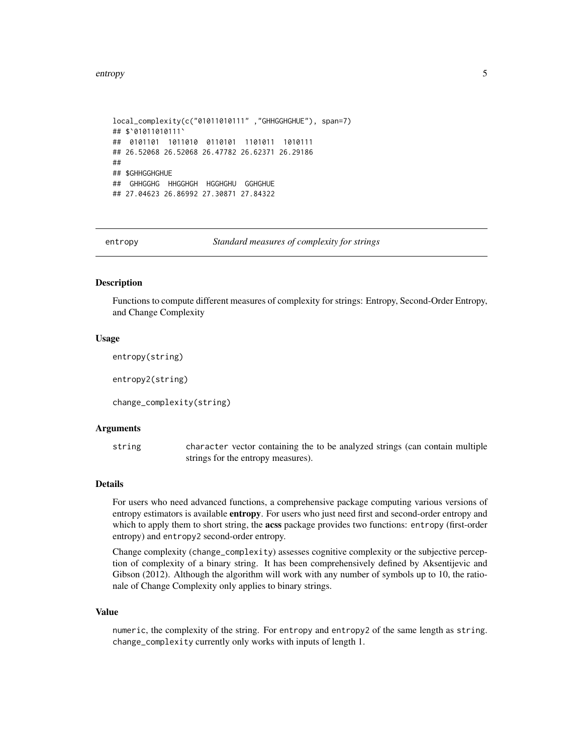```
local_complexity(c("01011010111" ,"GHHGGHGHUE"), span=7)
## $`01011010111`
## 0101101 1011010 0110101 1101011 1010111
## 26.52068 26.52068 26.47782 26.62371 26.29186
##
## $GHHGGHGHUE
## GHHGGHG HHGGHGH HGGHGHU GGHGHUE
## 27.04623 26.86992 27.30871 27.84322
```
entropy *Standard measures of complexity for strings*

#### Description

Functions to compute different measures of complexity for strings: Entropy, Second-Order Entropy, and Change Complexity

#### Usage

```
entropy(string)
```
entropy2(string)

change\_complexity(string)

#### Arguments

string character vector containing the to be analyzed strings (can contain multiple strings for the entropy measures).

#### Details

For users who need advanced functions, a comprehensive package computing various versions of entropy estimators is available **entropy**. For users who just need first and second-order entropy and which to apply them to short string, the acss package provides two functions: entropy (first-order entropy) and entropy2 second-order entropy.

Change complexity (change\_complexity) assesses cognitive complexity or the subjective perception of complexity of a binary string. It has been comprehensively defined by Aksentijevic and Gibson (2012). Although the algorithm will work with any number of symbols up to 10, the rationale of Change Complexity only applies to binary strings.

#### Value

numeric, the complexity of the string. For entropy and entropy2 of the same length as string. change\_complexity currently only works with inputs of length 1.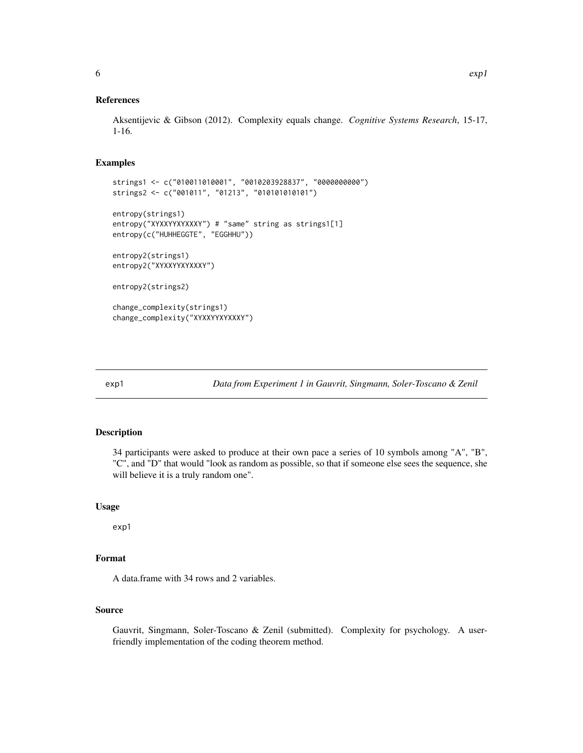#### <span id="page-5-0"></span>References

Aksentijevic & Gibson (2012). Complexity equals change. *Cognitive Systems Research*, 15-17, 1-16.

#### Examples

```
strings1 <- c("010011010001", "0010203928837", "0000000000")
strings2 <- c("001011", "01213", "010101010101")
entropy(strings1)
entropy("XYXXYYXYXXXY") # "same" string as strings1[1]
entropy(c("HUHHEGGTE", "EGGHHU"))
entropy2(strings1)
entropy2("XYXXYYXYXXXY")
entropy2(strings2)
change_complexity(strings1)
change_complexity("XYXXYYXYXXXY")
```
exp1 *Data from Experiment 1 in Gauvrit, Singmann, Soler-Toscano & Zenil*

#### Description

34 participants were asked to produce at their own pace a series of 10 symbols among "A", "B", "C", and "D" that would "look as random as possible, so that if someone else sees the sequence, she will believe it is a truly random one".

#### Usage

exp1

#### Format

A data.frame with 34 rows and 2 variables.

#### Source

Gauvrit, Singmann, Soler-Toscano & Zenil (submitted). Complexity for psychology. A userfriendly implementation of the coding theorem method.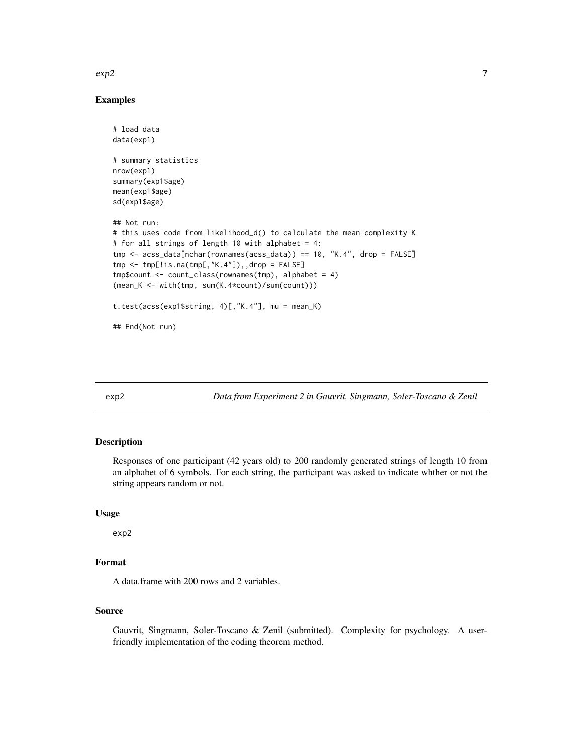#### <span id="page-6-0"></span> $\exp$ 2 7

#### Examples

```
# load data
data(exp1)
# summary statistics
nrow(exp1)
summary(exp1$age)
mean(exp1$age)
sd(exp1$age)
## Not run:
# this uses code from likelihood_d() to calculate the mean complexity K
# for all strings of length 10 with alphabet = 4:
tmp <- acss_data[nchar(rownames(acss_data)) == 10, "K.4", drop = FALSE]
tmp < -tmp[:is.na(tmp[, "K.4"]),, drop = FALSE]tmp$count <- count_class(rownames(tmp), alphabet = 4)
(mean_K <- with(tmp, sum(K.4*count)/sum(count)))
t.test(acss(exp1$string, 4)[,"K.4"], mu = mean_K)
## End(Not run)
```
exp2 *Data from Experiment 2 in Gauvrit, Singmann, Soler-Toscano & Zenil*

#### Description

Responses of one participant (42 years old) to 200 randomly generated strings of length 10 from an alphabet of 6 symbols. For each string, the participant was asked to indicate whther or not the string appears random or not.

#### Usage

exp2

#### Format

A data.frame with 200 rows and 2 variables.

#### Source

Gauvrit, Singmann, Soler-Toscano & Zenil (submitted). Complexity for psychology. A userfriendly implementation of the coding theorem method.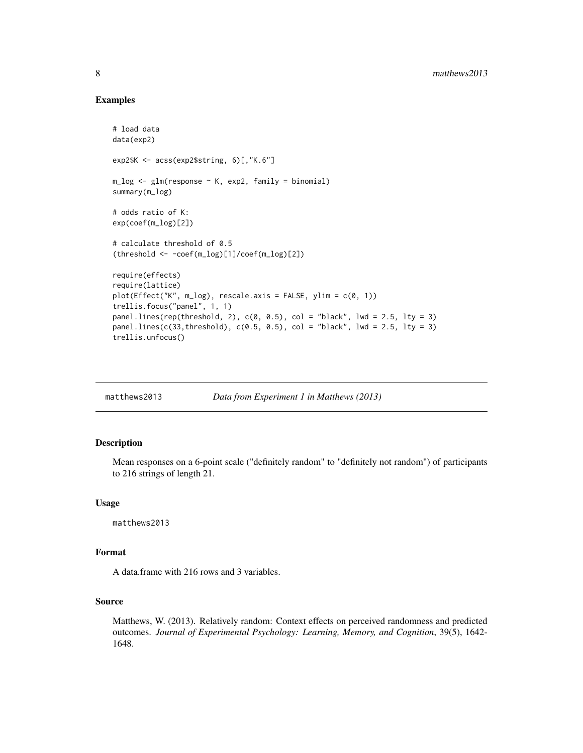#### Examples

```
# load data
data(exp2)
exp2$K <- acss(exp2$string, 6)[,"K.6"]
m_log <- glm(response ~ K, exp2, family = binomial)
summary(m_log)
# odds ratio of K:
exp(coef(m_log)[2])
# calculate threshold of 0.5
(threshold <- -coef(m_log)[1]/coef(m_log)[2])
require(effects)
require(lattice)
plot(Effect("K", m_log), rescale.axis = FALSE, ylim = c(0, 1))
trellis.focus("panel", 1, 1)
panel.lines(rep(threshold, 2), c(0, 0.5), col = "black", lwd = 2.5, lty = 3)panel. lines(c(33, threshold), c(0.5, 0.5), col = "black", lwd = 2.5, lty = 3)trellis.unfocus()
```

| Data from Experiment 1 in Matthews (2013)<br>matthews2013 |
|-----------------------------------------------------------|
|-----------------------------------------------------------|

#### Description

Mean responses on a 6-point scale ("definitely random" to "definitely not random") of participants to 216 strings of length 21.

#### Usage

matthews2013

#### Format

A data.frame with 216 rows and 3 variables.

#### Source

Matthews, W. (2013). Relatively random: Context effects on perceived randomness and predicted outcomes. *Journal of Experimental Psychology: Learning, Memory, and Cognition*, 39(5), 1642- 1648.

<span id="page-7-0"></span>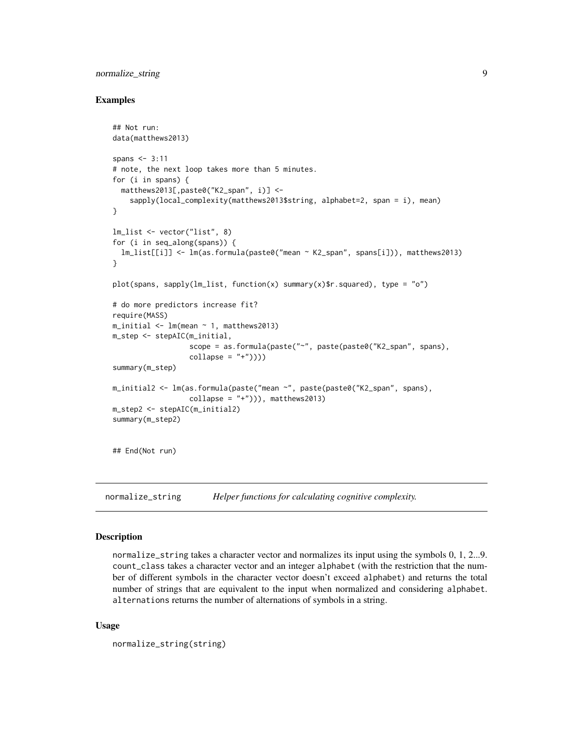#### <span id="page-8-0"></span>normalize\_string 9

#### Examples

```
## Not run:
data(matthews2013)
spans <-3:11# note, the next loop takes more than 5 minutes.
for (i in spans) {
  matthews2013[,paste0("K2_span", i)] <-
    sapply(local_complexity(matthews2013$string, alphabet=2, span = i), mean)
}
lm_list <- vector("list", 8)
for (i in seq_along(spans)) {
  lm_list[[i]] <- lm(as.formula(paste0("mean ~ K2_span", spans[i])), matthews2013)
}
plot(spans, sapply(lm_list, function(x) summary(x)$r.squared), type = "o")
# do more predictors increase fit?
require(MASS)
m_iinitial <- lm(mean ~ 1, matthews2013)m_step <- stepAIC(m_initial,
                  scope = as.formula(paste("~", paste(paste0("K2_span", spans),
                  collapse = "+''))summary(m_step)
m_initial2 <- lm(as.formula(paste("mean ~", paste(paste0("K2_span", spans),
                  collapse = "+'')), matthews2013)
m_step2 <- stepAIC(m_initial2)
summary(m_step2)
## End(Not run)
```
normalize\_string *Helper functions for calculating cognitive complexity.*

#### **Description**

normalize\_string takes a character vector and normalizes its input using the symbols 0, 1, 2...9. count\_class takes a character vector and an integer alphabet (with the restriction that the number of different symbols in the character vector doesn't exceed alphabet) and returns the total number of strings that are equivalent to the input when normalized and considering alphabet. alternations returns the number of alternations of symbols in a string.

#### Usage

```
normalize_string(string)
```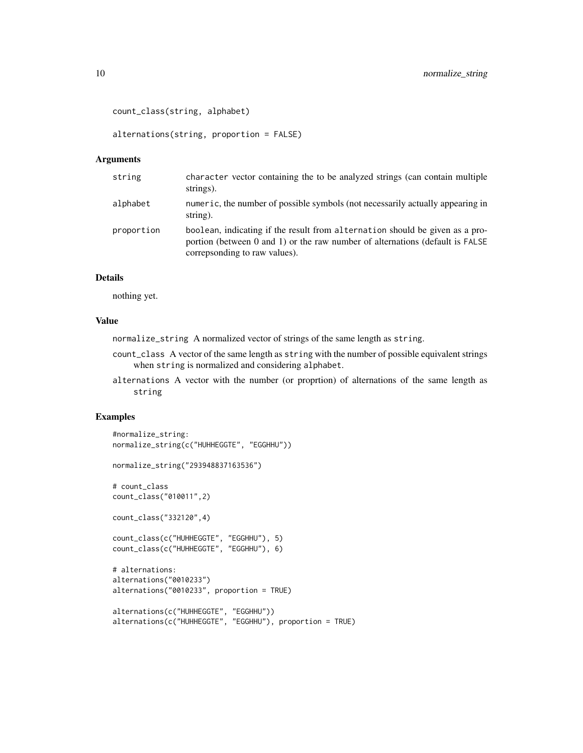```
count_class(string, alphabet)
```
alternations(string, proportion = FALSE)

#### Arguments

| string     | character vector containing the to be analyzed strings (can contain multiple<br>strings).                                                                                                           |
|------------|-----------------------------------------------------------------------------------------------------------------------------------------------------------------------------------------------------|
| alphabet   | numeric, the number of possible symbols (not necessarily actually appearing in<br>string).                                                                                                          |
| proportion | boolean, indicating if the result from alternation should be given as a pro-<br>portion (between $0$ and $1$ ) or the raw number of alternations (default is FALSE<br>correpsonding to raw values). |

#### Details

nothing yet.

#### Value

normalize\_string A normalized vector of strings of the same length as string.

- count\_class A vector of the same length as string with the number of possible equivalent strings when string is normalized and considering alphabet.
- alternations A vector with the number (or proprtion) of alternations of the same length as string

#### Examples

```
#normalize_string:
normalize_string(c("HUHHEGGTE", "EGGHHU"))
normalize_string("293948837163536")
# count_class
count_class("010011",2)
count_class("332120",4)
count_class(c("HUHHEGGTE", "EGGHHU"), 5)
count_class(c("HUHHEGGTE", "EGGHHU"), 6)
# alternations:
alternations("0010233")
alternations("0010233", proportion = TRUE)
alternations(c("HUHHEGGTE", "EGGHHU"))
alternations(c("HUHHEGGTE", "EGGHHU"), proportion = TRUE)
```